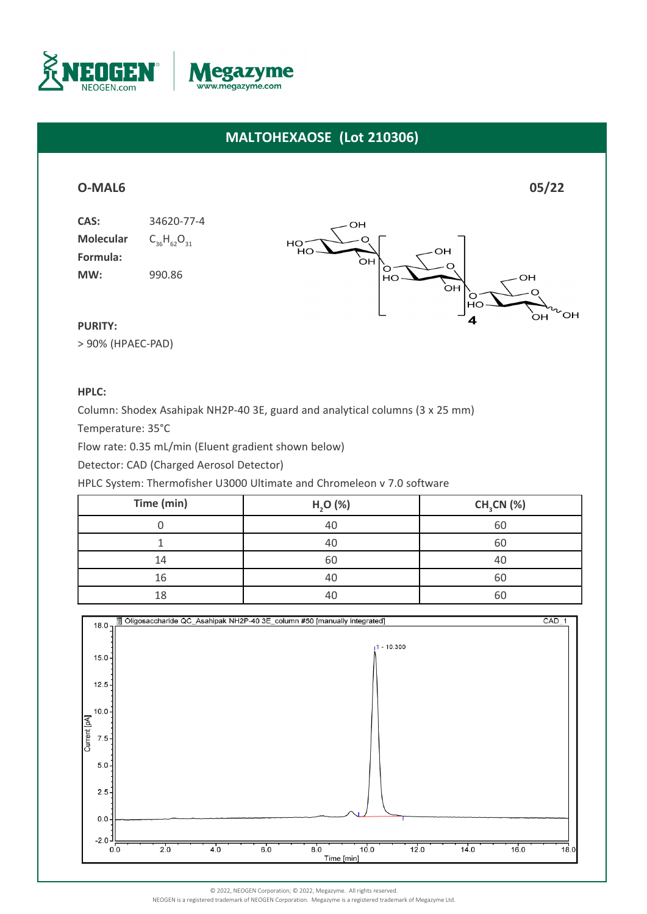



# **MALTOHEXAOSE (Lot 210306)**

## **[O-MAL6](https://www.megazyme.com/maltohexaose) 05/22**

**Molecular Formula: MW:** 990.86





### **PURITY:**

> 90% (HPAEC-PAD)

### **HPLC:**

Column: Shodex Asahipak NH2P-40 3E, guard and analytical columns (3 x 25 mm)

Temperature: 35°C

Flow rate: 0.35 mL/min (Eluent gradient shown below)

Detector: CAD (Charged Aerosol Detector)

HPLC System: Thermofisher U3000 Ultimate and Chromeleon v 7.0 software

| Time (min) | H, O (%)       | $CH3CN$ (%) |
|------------|----------------|-------------|
|            | 40             | 60          |
|            | 40             | 60          |
| 14         | 60             | 40          |
| 16         | 4 <sup>c</sup> | 6C          |
| 18         |                | 60          |



NEOGEN is a registered trademark of NEOGEN Corporation. Megazyme is a registered trademark of Megazyme Ltd.